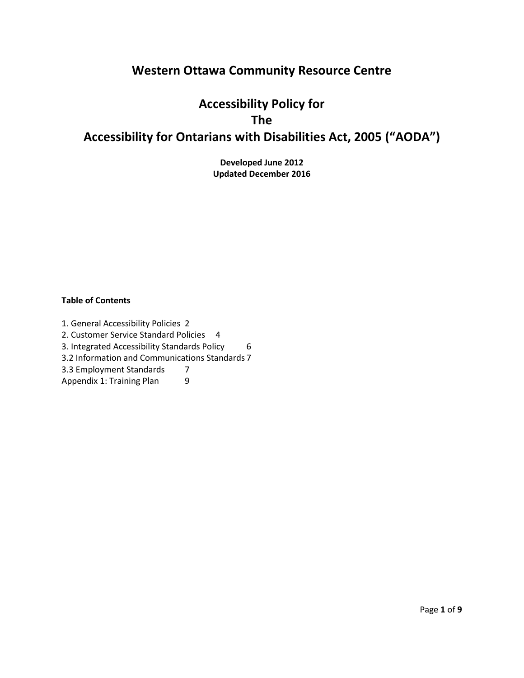# **Western Ottawa Community Resource Centre**

# **Accessibility Policy for The Accessibility for Ontarians with Disabilities Act, 2005 ("AODA")**

**Developed June 2012 Updated December 2016**

# **Table of Contents**

[1. General Accessibility Policies](../../weir/My%20Documents/Accessibility%20Policy%202014-08.doc#_Toc395959949) 2 [2. Customer Service Standard Policies](../../weir/My%20Documents/Accessibility%20Policy%202014-08.doc#_Toc395959952) 4 [3. Integrated Accessibility Standards Policy](../../weir/My%20Documents/Accessibility%20Policy%202014-08.doc#_Toc395959961) 6 [3.2 Information and Communications Standards](../../weir/My%20Documents/Accessibility%20Policy%202014-08.doc#_Toc395959964) 7 [3.3 Employment Standards](../../weir/My%20Documents/Accessibility%20Policy%202014-08.doc#_Toc395959965) 7 [Appendix 1: Training Plan](../../weir/My%20Documents/Accessibility%20Policy%202014-08.doc#_Toc395959968) 9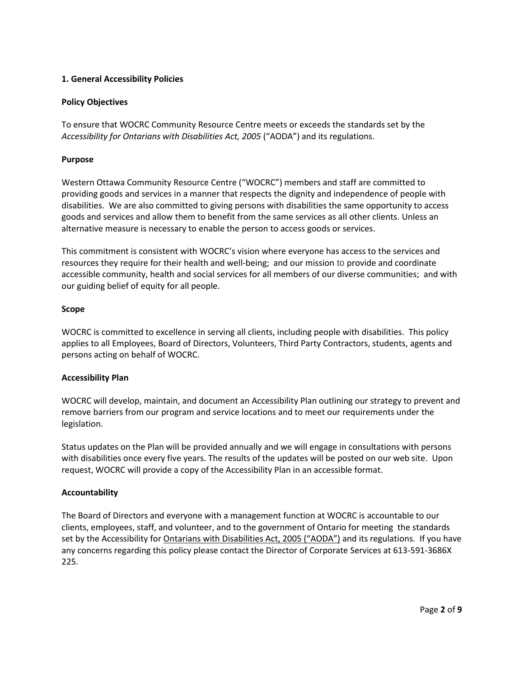# **1. General Accessibility Policies**

# **Policy Objectives**

To ensure that WOCRC Community Resource Centre meets or exceeds the standards set by the Accessibility for Ontarians with Disabilities Act, 2005 ("AODA") and its regulations.

# **Purpose**

Western Ottawa Community Resource Centre ("WOCRC") members and staff are committed to providing goods and services in a manner that respects the dignity and independence of people with disabilities. We are also committed to giving persons with disabilities the same opportunity to access goods and services and allow them to benefit from the same services as all other clients. Unless an alternative measure is necessary to enable the person to access goods or services.

This commitment is consistent with WOCRC's vision where everyone has access to the services and resources they require for their health and well-being; and our mission to provide and coordinate accessible community, health and social services for all members of our diverse communities; and with our guiding belief of equity for all people.

# **Scope**

WOCRC is committed to excellence in serving all clients, including people with disabilities. This policy applies to all Employees, Board of Directors, Volunteers, Third Party Contractors, students, agents and persons acting on behalf of WOCRC.

# **Accessibility Plan**

WOCRC will develop, maintain, and document an Accessibility Plan outlining our strategy to prevent and remove barriers from our program and service locations and to meet our requirements under the legislation.

Status updates on the Plan will be provided annually and we will engage in consultations with persons with disabilities once every five years. The results of the updates will be posted on our web site. Upon request, WOCRC will provide a copy of the Accessibility Plan in an accessible format.

# **Accountability**

The Board of Directors and everyone with a management function at WOCRC is accountable to our clients, employees, staff, and volunteer, and to the government of Ontario for meeting the standards set by the Accessibility for Ontarians with Disabilities Act, 2005 ("AODA") and its regulations. If you have any concerns regarding this policy please contact the Director of Corporate Services at 613-591-3686X 225.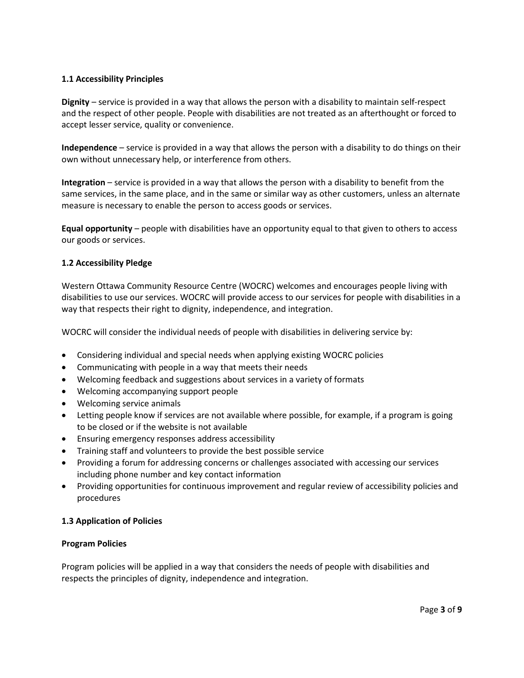# **1.1 Accessibility Principles**

**Dignity** – service is provided in a way that allows the person with a disability to maintain self-respect and the respect of other people. People with disabilities are not treated as an afterthought or forced to accept lesser service, quality or convenience.

**Independence** – service is provided in a way that allows the person with a disability to do things on their own without unnecessary help, or interference from others.

**Integration** – service is provided in a way that allows the person with a disability to benefit from the same services, in the same place, and in the same or similar way as other customers, unless an alternate measure is necessary to enable the person to access goods or services.

**Equal opportunity** – people with disabilities have an opportunity equal to that given to others to access our goods or services.

# **1.2 Accessibility Pledge**

Western Ottawa Community Resource Centre (WOCRC) welcomes and encourages people living with disabilities to use our services. WOCRC will provide access to our services for people with disabilities in a way that respects their right to dignity, independence, and integration.

WOCRC will consider the individual needs of people with disabilities in delivering service by:

- Considering individual and special needs when applying existing WOCRC policies
- Communicating with people in a way that meets their needs
- Welcoming feedback and suggestions about services in a variety of formats
- Welcoming accompanying support people
- Welcoming service animals
- Letting people know if services are not available where possible, for example, if a program is going to be closed or if the website is not available
- Ensuring emergency responses address accessibility
- Training staff and volunteers to provide the best possible service
- Providing a forum for addressing concerns or challenges associated with accessing our services including phone number and key contact information
- Providing opportunities for continuous improvement and regular review of accessibility policies and procedures

# **1.3 Application of Policies**

# **Program Policies**

Program policies will be applied in a way that considers the needs of people with disabilities and respects the principles of dignity, independence and integration.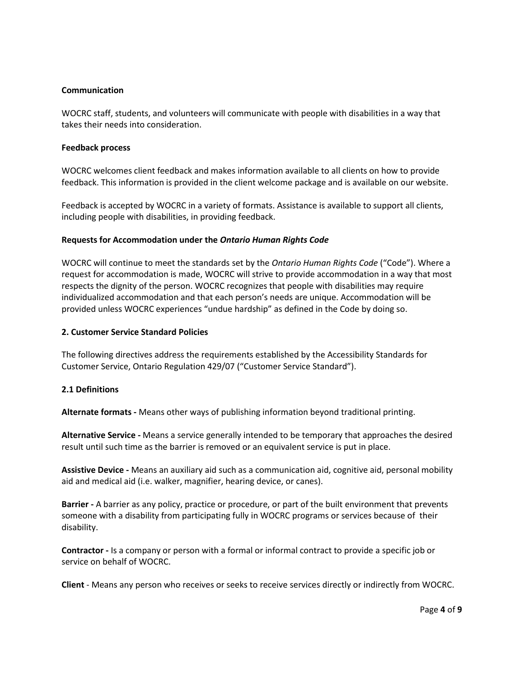#### **Communication**

WOCRC staff, students, and volunteers will communicate with people with disabilities in a way that takes their needs into consideration.

#### **Feedback process**

WOCRC welcomes client feedback and makes information available to all clients on how to provide feedback. This information is provided in the client welcome package and is available on our website.

Feedback is accepted by WOCRC in a variety of formats. Assistance is available to support all clients, including people with disabilities, in providing feedback.

# **Requests for Accommodation under the** *Ontario Human Rights Code*

WOCRC will continue to meet the standards set by the *Ontario Human Rights Code* ("Code"). Where a request for accommodation is made, WOCRC will strive to provide accommodation in a way that most respects the dignity of the person. WOCRC recognizes that people with disabilities may require individualized accommodation and that each person's needs are unique. Accommodation will be provided unless WOCRC experiences "undue hardship" as defined in the Code by doing so.

#### **2. Customer Service Standard Policies**

The following directives address the requirements established by the Accessibility Standards for Customer Service, Ontario Regulation 429/07 ("Customer Service Standard").

# **2.1 Definitions**

**Alternate formats -** Means other ways of publishing information beyond traditional printing.

**Alternative Service -** Means a service generally intended to be temporary that approaches the desired result until such time as the barrier is removed or an equivalent service is put in place.

**Assistive Device -** Means an auxiliary aid such as a communication aid, cognitive aid, personal mobility aid and medical aid (i.e. walker, magnifier, hearing device, or canes).

**Barrier -** A barrier as any policy, practice or procedure, or part of the built environment that prevents someone with a disability from participating fully in WOCRC programs or services because of their disability.

**Contractor -** Is a company or person with a formal or informal contract to provide a specific job or service on behalf of WOCRC.

**Client** - Means any person who receives or seeks to receive services directly or indirectly from WOCRC.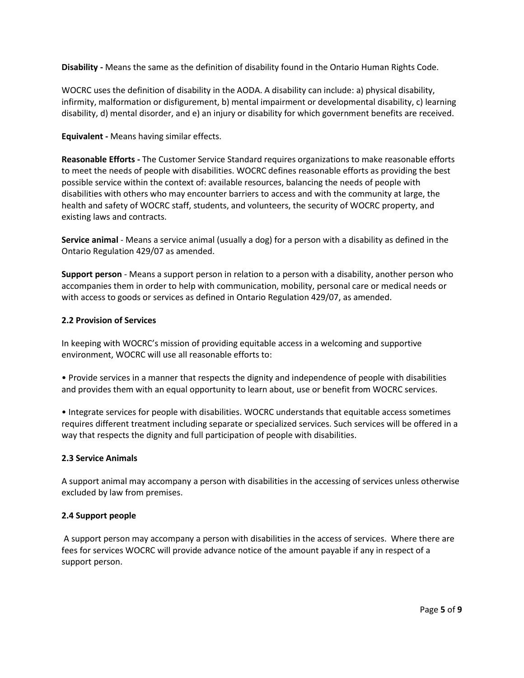**Disability -** Means the same as the definition of disability found in the Ontario Human Rights Code.

WOCRC uses the definition of disability in the AODA. A disability can include: a) physical disability, infirmity, malformation or disfigurement, b) mental impairment or developmental disability, c) learning disability, d) mental disorder, and e) an injury or disability for which government benefits are received.

# **Equivalent -** Means having similar effects.

**Reasonable Efforts -** The Customer Service Standard requires organizations to make reasonable efforts to meet the needs of people with disabilities. WOCRC defines reasonable efforts as providing the best possible service within the context of: available resources, balancing the needs of people with disabilities with others who may encounter barriers to access and with the community at large, the health and safety of WOCRC staff, students, and volunteers, the security of WOCRC property, and existing laws and contracts.

**Service animal** - Means a service animal (usually a dog) for a person with a disability as defined in the Ontario Regulation 429/07 as amended.

**Support person** - Means a support person in relation to a person with a disability, another person who accompanies them in order to help with communication, mobility, personal care or medical needs or with access to goods or services as defined in Ontario Regulation 429/07, as amended.

# **2.2 Provision of Services**

In keeping with WOCRC's mission of providing equitable access in a welcoming and supportive environment, WOCRC will use all reasonable efforts to:

• Provide services in a manner that respects the dignity and independence of people with disabilities and provides them with an equal opportunity to learn about, use or benefit from WOCRC services.

• Integrate services for people with disabilities. WOCRC understands that equitable access sometimes requires different treatment including separate or specialized services. Such services will be offered in a way that respects the dignity and full participation of people with disabilities.

# **2.3 Service Animals**

A support animal may accompany a person with disabilities in the accessing of services unless otherwise excluded by law from premises.

# **2.4 Support people**

A support person may accompany a person with disabilities in the access of services. Where there are fees for services WOCRC will provide advance notice of the amount payable if any in respect of a support person.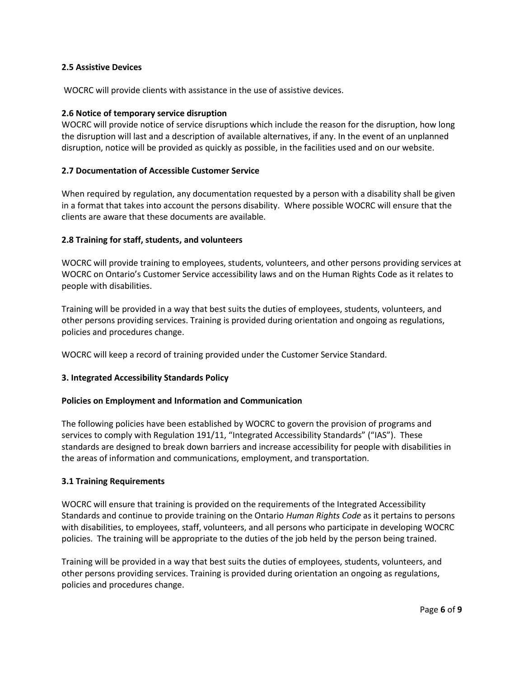# **2.5 Assistive Devices**

WOCRC will provide clients with assistance in the use of assistive devices.

#### **2.6 Notice of temporary service disruption**

WOCRC will provide notice of service disruptions which include the reason for the disruption, how long the disruption will last and a description of available alternatives, if any. In the event of an unplanned disruption, notice will be provided as quickly as possible, in the facilities used and on our website.

#### **2.7 Documentation of Accessible Customer Service**

When required by regulation, any documentation requested by a person with a disability shall be given in a format that takes into account the persons disability. Where possible WOCRC will ensure that the clients are aware that these documents are available.

#### **2.8 Training for staff, students, and volunteers**

WOCRC will provide training to employees, students, volunteers, and other persons providing services at WOCRC on Ontario's Customer Service accessibility laws and on the Human Rights Code as it relates to people with disabilities.

Training will be provided in a way that best suits the duties of employees, students, volunteers, and other persons providing services. Training is provided during orientation and ongoing as regulations, policies and procedures change.

WOCRC will keep a record of training provided under the Customer Service Standard.

# **3. Integrated Accessibility Standards Policy**

#### **Policies on Employment and Information and Communication**

The following policies have been established by WOCRC to govern the provision of programs and services to comply with Regulation 191/11, "Integrated Accessibility Standards" ("IAS"). These standards are designed to break down barriers and increase accessibility for people with disabilities in the areas of information and communications, employment, and transportation.

#### **3.1 Training Requirements**

WOCRC will ensure that training is provided on the requirements of the Integrated Accessibility Standards and continue to provide training on the Ontario *Human Rights Code* as it pertains to persons with disabilities, to employees, staff, volunteers, and all persons who participate in developing WOCRC policies. The training will be appropriate to the duties of the job held by the person being trained.

Training will be provided in a way that best suits the duties of employees, students, volunteers, and other persons providing services. Training is provided during orientation an ongoing as regulations, policies and procedures change.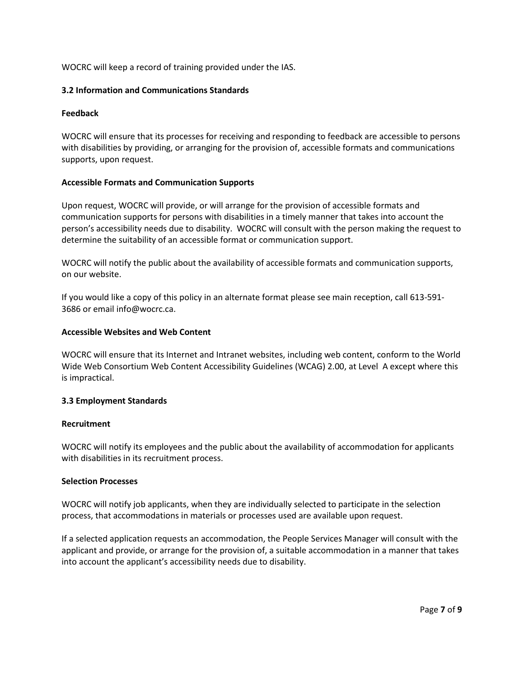WOCRC will keep a record of training provided under the IAS.

# **3.2 Information and Communications Standards**

# **Feedback**

WOCRC will ensure that its processes for receiving and responding to feedback are accessible to persons with disabilities by providing, or arranging for the provision of, accessible formats and communications supports, upon request.

# **Accessible Formats and Communication Supports**

Upon request, WOCRC will provide, or will arrange for the provision of accessible formats and communication supports for persons with disabilities in a timely manner that takes into account the person's accessibility needs due to disability. WOCRC will consult with the person making the request to determine the suitability of an accessible format or communication support.

WOCRC will notify the public about the availability of accessible formats and communication supports, on our website.

If you would like a copy of this policy in an alternate format please see main reception, call 613-591- 3686 or email info@wocrc.ca.

# **Accessible Websites and Web Content**

WOCRC will ensure that its Internet and Intranet websites, including web content, conform to the World Wide Web Consortium Web Content Accessibility Guidelines (WCAG) 2.00, at Level A except where this is impractical.

# **3.3 Employment Standards**

# **Recruitment**

WOCRC will notify its employees and the public about the availability of accommodation for applicants with disabilities in its recruitment process.

# **Selection Processes**

WOCRC will notify job applicants, when they are individually selected to participate in the selection process, that accommodations in materials or processes used are available upon request.

If a selected application requests an accommodation, the People Services Manager will consult with the applicant and provide, or arrange for the provision of, a suitable accommodation in a manner that takes into account the applicant's accessibility needs due to disability.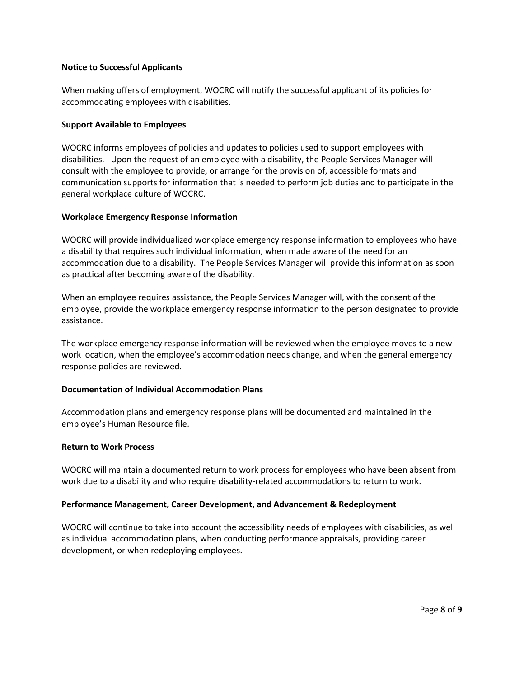#### **Notice to Successful Applicants**

When making offers of employment, WOCRC will notify the successful applicant of its policies for accommodating employees with disabilities.

### **Support Available to Employees**

WOCRC informs employees of policies and updates to policies used to support employees with disabilities. Upon the request of an employee with a disability, the People Services Manager will consult with the employee to provide, or arrange for the provision of, accessible formats and communication supports for information that is needed to perform job duties and to participate in the general workplace culture of WOCRC.

#### **Workplace Emergency Response Information**

WOCRC will provide individualized workplace emergency response information to employees who have a disability that requires such individual information, when made aware of the need for an accommodation due to a disability. The People Services Manager will provide this information as soon as practical after becoming aware of the disability.

When an employee requires assistance, the People Services Manager will, with the consent of the employee, provide the workplace emergency response information to the person designated to provide assistance.

The workplace emergency response information will be reviewed when the employee moves to a new work location, when the employee's accommodation needs change, and when the general emergency response policies are reviewed.

# **Documentation of Individual Accommodation Plans**

Accommodation plans and emergency response plans will be documented and maintained in the employee's Human Resource file.

#### **Return to Work Process**

WOCRC will maintain a documented return to work process for employees who have been absent from work due to a disability and who require disability-related accommodations to return to work.

#### **Performance Management, Career Development, and Advancement & Redeployment**

WOCRC will continue to take into account the accessibility needs of employees with disabilities, as well as individual accommodation plans, when conducting performance appraisals, providing career development, or when redeploying employees.